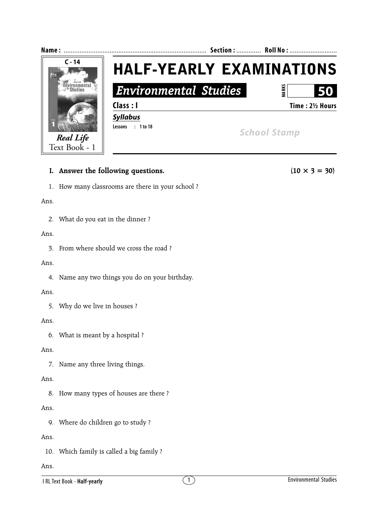

# **I.** Answer the following questions. (10  $\times$  3 = 30)

1. How many classrooms are there in your school ?

#### Ans.

2. What do you eat in the dinner ?

## Ans.

3. From where should we cross the road ?

### Ans.

4. Name any two things you do on your birthday.

## Ans.

5. Why do we live in houses ?

## Ans.

6. What is meant by a hospital ?

## Ans.

7. Name any three living things.

# Ans.

8. How many types of houses are there ?

# Ans.

9. Where do children go to study ?

# Ans.

10. Which family is called a big family ?

# Ans.